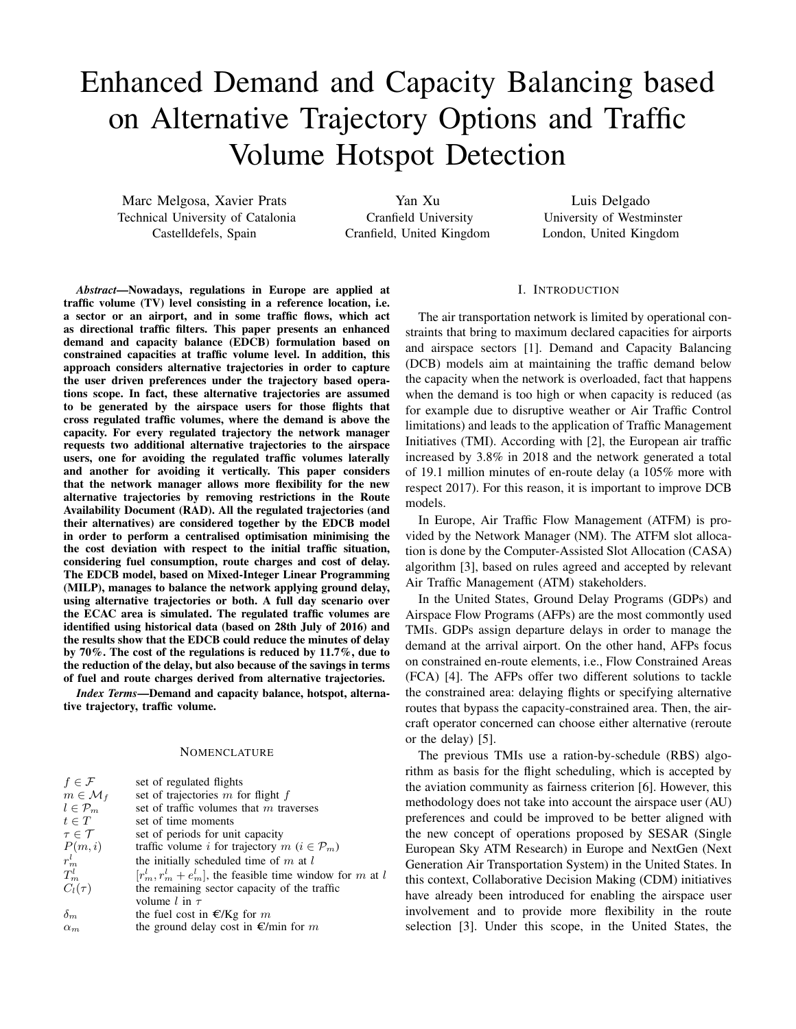# Enhanced Demand and Capacity Balancing based on Alternative Trajectory Options and Traffic Volume Hotspot Detection

Marc Melgosa, Xavier Prats Technical University of Catalonia Castelldefels, Spain

Yan Xu Cranfield University Cranfield, United Kingdom

Luis Delgado University of Westminster London, United Kingdom

*Abstract*—Nowadays, regulations in Europe are applied at traffic volume (TV) level consisting in a reference location, i.e. a sector or an airport, and in some traffic flows, which act as directional traffic filters. This paper presents an enhanced demand and capacity balance (EDCB) formulation based on constrained capacities at traffic volume level. In addition, this approach considers alternative trajectories in order to capture the user driven preferences under the trajectory based operations scope. In fact, these alternative trajectories are assumed to be generated by the airspace users for those flights that cross regulated traffic volumes, where the demand is above the capacity. For every regulated trajectory the network manager requests two additional alternative trajectories to the airspace users, one for avoiding the regulated traffic volumes laterally and another for avoiding it vertically. This paper considers that the network manager allows more flexibility for the new alternative trajectories by removing restrictions in the Route Availability Document (RAD). All the regulated trajectories (and their alternatives) are considered together by the EDCB model in order to perform a centralised optimisation minimising the the cost deviation with respect to the initial traffic situation, considering fuel consumption, route charges and cost of delay. The EDCB model, based on Mixed-Integer Linear Programming (MILP), manages to balance the network applying ground delay, using alternative trajectories or both. A full day scenario over the ECAC area is simulated. The regulated traffic volumes are identified using historical data (based on 28th July of 2016) and the results show that the EDCB could reduce the minutes of delay by 70%. The cost of the regulations is reduced by 11.7%, due to the reduction of the delay, but also because of the savings in terms of fuel and route charges derived from alternative trajectories.

*Index Terms*—Demand and capacity balance, hotspot, alternative trajectory, traffic volume.

# **NOMENCLATURE**

| set of regulated flights                                       |
|----------------------------------------------------------------|
| set of trajectories $m$ for flight $f$                         |
| set of traffic volumes that $m$ traverses                      |
| set of time moments                                            |
| set of periods for unit capacity                               |
| traffic volume i for trajectory $m$ ( $i \in \mathcal{P}_m$ )  |
| the initially scheduled time of $m$ at $l$                     |
| $[r_m^l, r_m^l + e_m^l]$ , the feasible time window for m at l |
| the remaining sector capacity of the traffic                   |
| volume l in $\tau$                                             |
| the fuel cost in $E/Kg$ for m                                  |
| the ground delay cost in $\epsilon$ /min for m                 |
|                                                                |

#### I. INTRODUCTION

The air transportation network is limited by operational constraints that bring to maximum declared capacities for airports and airspace sectors [1]. Demand and Capacity Balancing (DCB) models aim at maintaining the traffic demand below the capacity when the network is overloaded, fact that happens when the demand is too high or when capacity is reduced (as for example due to disruptive weather or Air Traffic Control limitations) and leads to the application of Traffic Management Initiatives (TMI). According with [2], the European air traffic increased by 3.8% in 2018 and the network generated a total of 19.1 million minutes of en-route delay (a 105% more with respect 2017). For this reason, it is important to improve DCB models.

In Europe, Air Traffic Flow Management (ATFM) is provided by the Network Manager (NM). The ATFM slot allocation is done by the Computer-Assisted Slot Allocation (CASA) algorithm [3], based on rules agreed and accepted by relevant Air Traffic Management (ATM) stakeholders.

In the United States, Ground Delay Programs (GDPs) and Airspace Flow Programs (AFPs) are the most commontly used TMIs. GDPs assign departure delays in order to manage the demand at the arrival airport. On the other hand, AFPs focus on constrained en-route elements, i.e., Flow Constrained Areas (FCA) [4]. The AFPs offer two different solutions to tackle the constrained area: delaying flights or specifying alternative routes that bypass the capacity-constrained area. Then, the aircraft operator concerned can choose either alternative (reroute or the delay) [5].

The previous TMIs use a ration-by-schedule (RBS) algorithm as basis for the flight scheduling, which is accepted by the aviation community as fairness criterion [6]. However, this methodology does not take into account the airspace user (AU) preferences and could be improved to be better aligned with the new concept of operations proposed by SESAR (Single European Sky ATM Research) in Europe and NextGen (Next Generation Air Transportation System) in the United States. In this context, Collaborative Decision Making (CDM) initiatives have already been introduced for enabling the airspace user involvement and to provide more flexibility in the route selection [3]. Under this scope, in the United States, the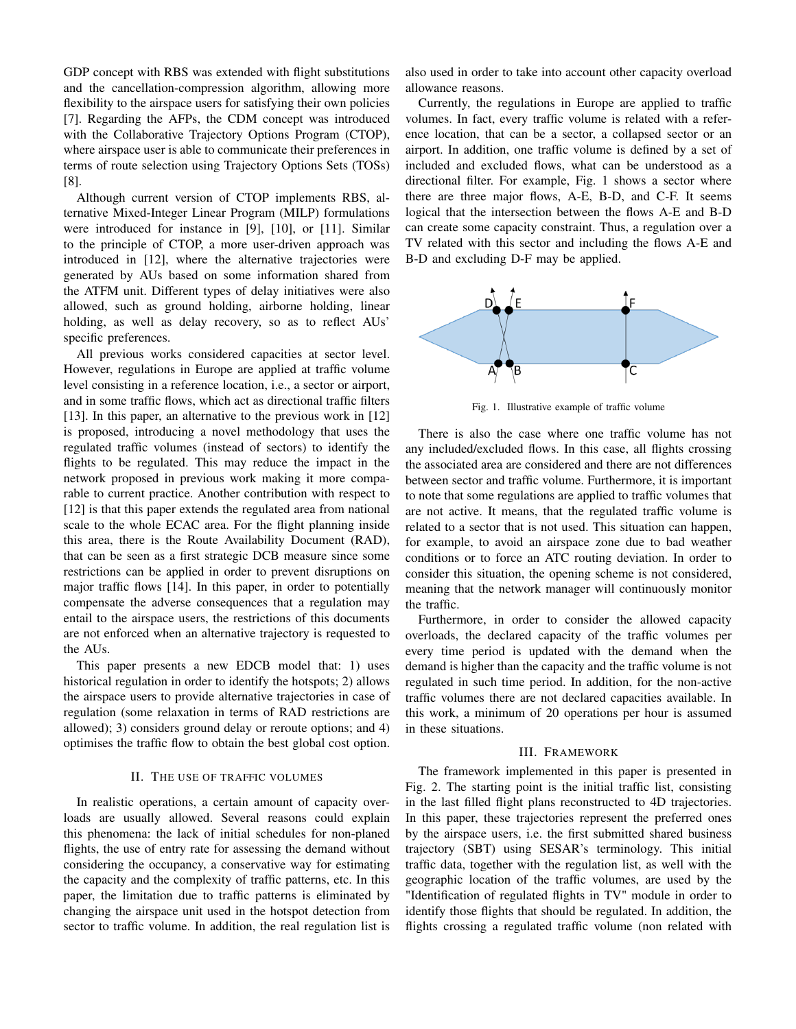GDP concept with RBS was extended with flight substitutions and the cancellation-compression algorithm, allowing more flexibility to the airspace users for satisfying their own policies [7]. Regarding the AFPs, the CDM concept was introduced with the Collaborative Trajectory Options Program (CTOP), where airspace user is able to communicate their preferences in terms of route selection using Trajectory Options Sets (TOSs) [8].

Although current version of CTOP implements RBS, alternative Mixed-Integer Linear Program (MILP) formulations were introduced for instance in [9], [10], or [11]. Similar to the principle of CTOP, a more user-driven approach was introduced in [12], where the alternative trajectories were generated by AUs based on some information shared from the ATFM unit. Different types of delay initiatives were also allowed, such as ground holding, airborne holding, linear holding, as well as delay recovery, so as to reflect AUs' specific preferences.

All previous works considered capacities at sector level. However, regulations in Europe are applied at traffic volume level consisting in a reference location, i.e., a sector or airport, and in some traffic flows, which act as directional traffic filters [13]. In this paper, an alternative to the previous work in [12] is proposed, introducing a novel methodology that uses the regulated traffic volumes (instead of sectors) to identify the flights to be regulated. This may reduce the impact in the network proposed in previous work making it more comparable to current practice. Another contribution with respect to [12] is that this paper extends the regulated area from national scale to the whole ECAC area. For the flight planning inside this area, there is the Route Availability Document (RAD), that can be seen as a first strategic DCB measure since some restrictions can be applied in order to prevent disruptions on major traffic flows [14]. In this paper, in order to potentially compensate the adverse consequences that a regulation may entail to the airspace users, the restrictions of this documents are not enforced when an alternative trajectory is requested to the AUs.

This paper presents a new EDCB model that: 1) uses historical regulation in order to identify the hotspots; 2) allows the airspace users to provide alternative trajectories in case of regulation (some relaxation in terms of RAD restrictions are allowed); 3) considers ground delay or reroute options; and 4) optimises the traffic flow to obtain the best global cost option.

### II. THE USE OF TRAFFIC VOLUMES

In realistic operations, a certain amount of capacity overloads are usually allowed. Several reasons could explain this phenomena: the lack of initial schedules for non-planed flights, the use of entry rate for assessing the demand without considering the occupancy, a conservative way for estimating the capacity and the complexity of traffic patterns, etc. In this paper, the limitation due to traffic patterns is eliminated by changing the airspace unit used in the hotspot detection from sector to traffic volume. In addition, the real regulation list is also used in order to take into account other capacity overload allowance reasons.

Currently, the regulations in Europe are applied to traffic volumes. In fact, every traffic volume is related with a reference location, that can be a sector, a collapsed sector or an airport. In addition, one traffic volume is defined by a set of included and excluded flows, what can be understood as a directional filter. For example, Fig. 1 shows a sector where there are three major flows, A-E, B-D, and C-F. It seems logical that the intersection between the flows A-E and B-D can create some capacity constraint. Thus, a regulation over a TV related with this sector and including the flows A-E and B-D and excluding D-F may be applied.



Fig. 1. Illustrative example of traffic volume

There is also the case where one traffic volume has not any included/excluded flows. In this case, all flights crossing the associated area are considered and there are not differences between sector and traffic volume. Furthermore, it is important to note that some regulations are applied to traffic volumes that are not active. It means, that the regulated traffic volume is related to a sector that is not used. This situation can happen, for example, to avoid an airspace zone due to bad weather conditions or to force an ATC routing deviation. In order to consider this situation, the opening scheme is not considered, meaning that the network manager will continuously monitor the traffic.

Furthermore, in order to consider the allowed capacity overloads, the declared capacity of the traffic volumes per every time period is updated with the demand when the demand is higher than the capacity and the traffic volume is not regulated in such time period. In addition, for the non-active traffic volumes there are not declared capacities available. In this work, a minimum of 20 operations per hour is assumed in these situations.

## III. FRAMEWORK

The framework implemented in this paper is presented in Fig. 2. The starting point is the initial traffic list, consisting in the last filled flight plans reconstructed to 4D trajectories. In this paper, these trajectories represent the preferred ones by the airspace users, i.e. the first submitted shared business trajectory (SBT) using SESAR's terminology. This initial traffic data, together with the regulation list, as well with the geographic location of the traffic volumes, are used by the "Identification of regulated flights in TV" module in order to identify those flights that should be regulated. In addition, the flights crossing a regulated traffic volume (non related with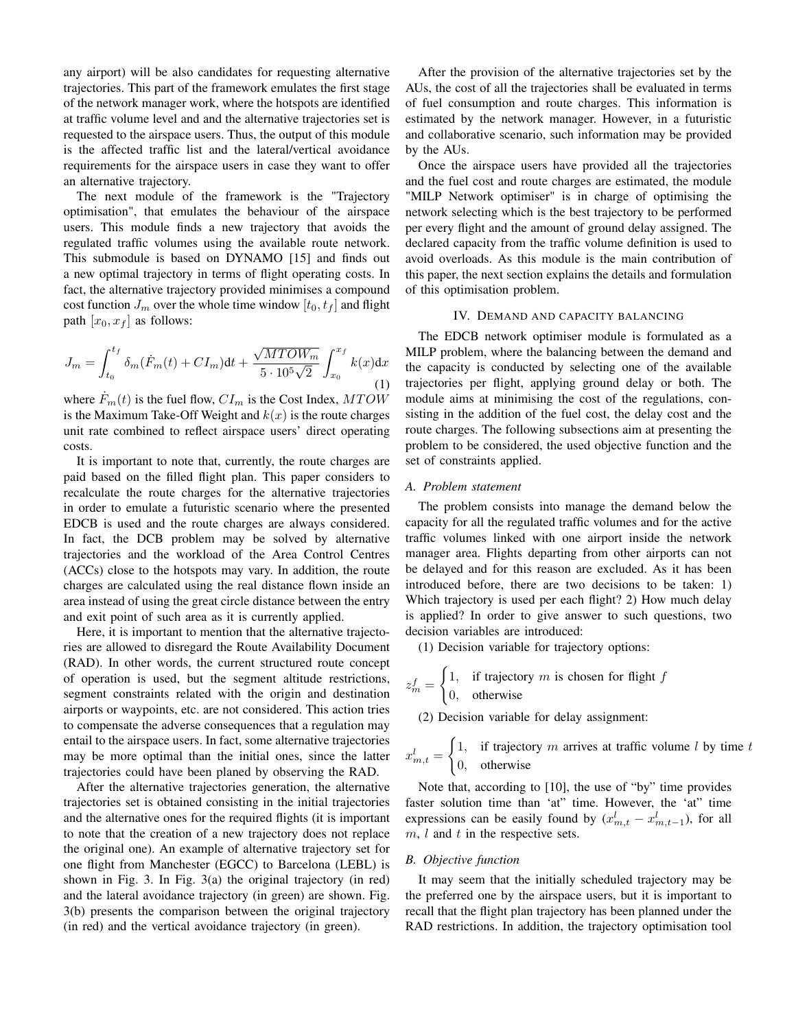any airport) will be also candidates for requesting alternative trajectories. This part of the framework emulates the first stage of the network manager work, where the hotspots are identified at traffic volume level and and the alternative trajectories set is requested to the airspace users. Thus, the output of this module is the affected traffic list and the lateral/vertical avoidance requirements for the airspace users in case they want to offer an alternative trajectory.

The next module of the framework is the "Trajectory optimisation", that emulates the behaviour of the airspace users. This module finds a new trajectory that avoids the regulated traffic volumes using the available route network. This submodule is based on DYNAMO [15] and finds out a new optimal trajectory in terms of flight operating costs. In fact, the alternative trajectory provided minimises a compound cost function  $J_m$  over the whole time window  $[t_0, t_f]$  and flight path  $[x_0, x_f]$  as follows:

$$
J_m = \int_{t_0}^{t_f} \delta_m(\dot{F}_m(t) + CI_m) dt + \frac{\sqrt{MTOW_m}}{5 \cdot 10^5 \sqrt{2}} \int_{x_0}^{x_f} k(x) dx
$$
\n(1)

where  $\dot{F}_m(t)$  is the fuel flow,  $CI_m$  is the Cost Index,  $MTOW$ is the Maximum Take-Off Weight and  $k(x)$  is the route charges unit rate combined to reflect airspace users' direct operating costs.

It is important to note that, currently, the route charges are paid based on the filled flight plan. This paper considers to recalculate the route charges for the alternative trajectories in order to emulate a futuristic scenario where the presented EDCB is used and the route charges are always considered. In fact, the DCB problem may be solved by alternative trajectories and the workload of the Area Control Centres (ACCs) close to the hotspots may vary. In addition, the route charges are calculated using the real distance flown inside an area instead of using the great circle distance between the entry and exit point of such area as it is currently applied.

Here, it is important to mention that the alternative trajectories are allowed to disregard the Route Availability Document (RAD). In other words, the current structured route concept of operation is used, but the segment altitude restrictions, segment constraints related with the origin and destination airports or waypoints, etc. are not considered. This action tries to compensate the adverse consequences that a regulation may entail to the airspace users. In fact, some alternative trajectories may be more optimal than the initial ones, since the latter trajectories could have been planed by observing the RAD.

After the alternative trajectories generation, the alternative trajectories set is obtained consisting in the initial trajectories and the alternative ones for the required flights (it is important to note that the creation of a new trajectory does not replace the original one). An example of alternative trajectory set for one flight from Manchester (EGCC) to Barcelona (LEBL) is shown in Fig. 3. In Fig. 3(a) the original trajectory (in red) and the lateral avoidance trajectory (in green) are shown. Fig. 3(b) presents the comparison between the original trajectory (in red) and the vertical avoidance trajectory (in green).

After the provision of the alternative trajectories set by the AUs, the cost of all the trajectories shall be evaluated in terms of fuel consumption and route charges. This information is estimated by the network manager. However, in a futuristic and collaborative scenario, such information may be provided by the AUs.

Once the airspace users have provided all the trajectories and the fuel cost and route charges are estimated, the module "MILP Network optimiser" is in charge of optimising the network selecting which is the best trajectory to be performed per every flight and the amount of ground delay assigned. The declared capacity from the traffic volume definition is used to avoid overloads. As this module is the main contribution of this paper, the next section explains the details and formulation of this optimisation problem.

# IV. DEMAND AND CAPACITY BALANCING

The EDCB network optimiser module is formulated as a MILP problem, where the balancing between the demand and the capacity is conducted by selecting one of the available trajectories per flight, applying ground delay or both. The module aims at minimising the cost of the regulations, consisting in the addition of the fuel cost, the delay cost and the route charges. The following subsections aim at presenting the problem to be considered, the used objective function and the set of constraints applied.

## *A. Problem statement*

The problem consists into manage the demand below the capacity for all the regulated traffic volumes and for the active traffic volumes linked with one airport inside the network manager area. Flights departing from other airports can not be delayed and for this reason are excluded. As it has been introduced before, there are two decisions to be taken: 1) Which trajectory is used per each flight? 2) How much delay is applied? In order to give answer to such questions, two decision variables are introduced:

(1) Decision variable for trajectory options:

$$
z_m^f = \begin{cases} 1, & \text{if trajectory } m \text{ is chosen for flight } f \\ 0, & \text{otherwise} \end{cases}
$$

(2) Decision variable for delay assignment:

 $x_{m,t}^l =$  $\int 1$ , if trajectory m arrives at traffic volume l by time t 0, otherwise

Note that, according to [10], the use of "by" time provides faster solution time than 'at" time. However, the 'at" time expressions can be easily found by  $(x_{m,t}^l - x_{m,t-1}^l)$ , for all  $m, l$  and  $t$  in the respective sets.

### *B. Objective function*

It may seem that the initially scheduled trajectory may be the preferred one by the airspace users, but it is important to recall that the flight plan trajectory has been planned under the RAD restrictions. In addition, the trajectory optimisation tool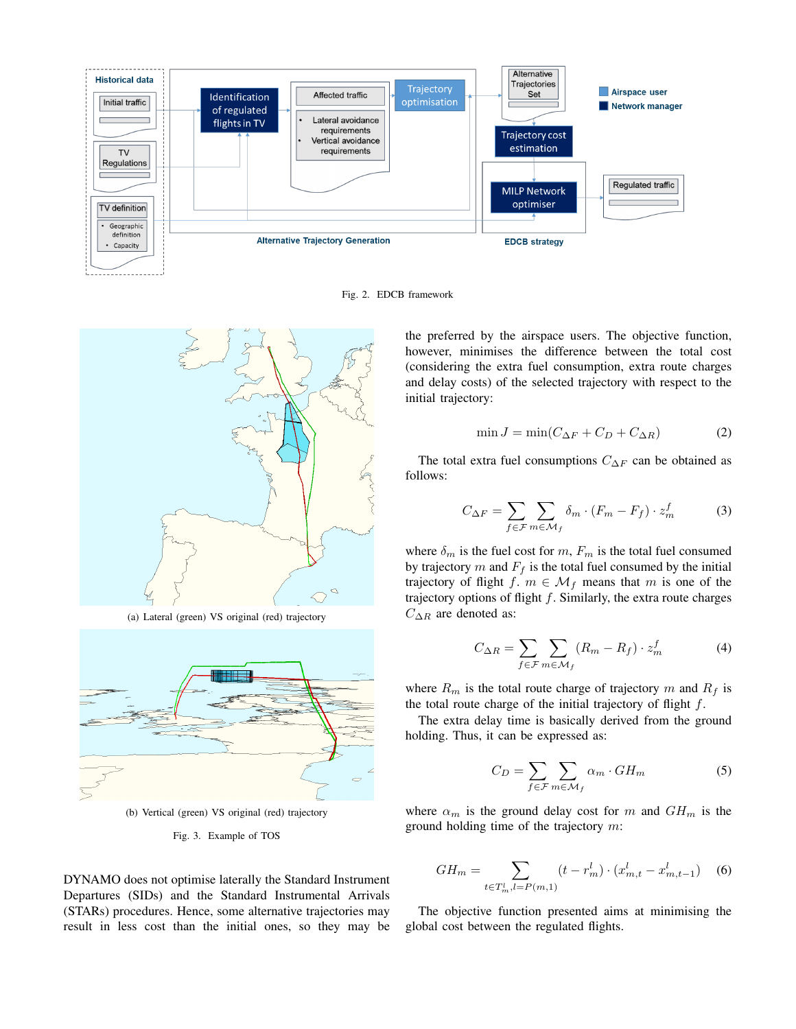

Fig. 2. EDCB framework



(a) Lateral (green) VS original (red) trajectory



(b) Vertical (green) VS original (red) trajectory

#### Fig. 3. Example of TOS

DYNAMO does not optimise laterally the Standard Instrument Departures (SIDs) and the Standard Instrumental Arrivals (STARs) procedures. Hence, some alternative trajectories may result in less cost than the initial ones, so they may be the preferred by the airspace users. The objective function, however, minimises the difference between the total cost (considering the extra fuel consumption, extra route charges and delay costs) of the selected trajectory with respect to the initial trajectory:

$$
\min J = \min(C_{\Delta F} + C_D + C_{\Delta R})
$$
 (2)

The total extra fuel consumptions  $C_{\Delta F}$  can be obtained as follows:

$$
C_{\Delta F} = \sum_{f \in \mathcal{F}} \sum_{m \in \mathcal{M}_f} \delta_m \cdot (F_m - F_f) \cdot z_m^f \tag{3}
$$

where  $\delta_m$  is the fuel cost for m,  $F_m$  is the total fuel consumed by trajectory m and  $F_f$  is the total fuel consumed by the initial trajectory of flight f.  $m \in \mathcal{M}_f$  means that m is one of the trajectory options of flight  $f$ . Similarly, the extra route charges  $C_{\Delta R}$  are denoted as:

$$
C_{\Delta R} = \sum_{f \in \mathcal{F}} \sum_{m \in \mathcal{M}_f} (R_m - R_f) \cdot z_m^f \tag{4}
$$

where  $R_m$  is the total route charge of trajectory m and  $R_f$  is the total route charge of the initial trajectory of flight  $f$ .

The extra delay time is basically derived from the ground holding. Thus, it can be expressed as:

$$
C_D = \sum_{f \in \mathcal{F}} \sum_{m \in \mathcal{M}_f} \alpha_m \cdot GH_m \tag{5}
$$

where  $\alpha_m$  is the ground delay cost for m and  $GH_m$  is the ground holding time of the trajectory m:

$$
GH_m = \sum_{t \in T_m^l, l = P(m,1)} (t - r_m^l) \cdot (x_{m,t}^l - x_{m,t-1}^l) \tag{6}
$$

The objective function presented aims at minimising the global cost between the regulated flights.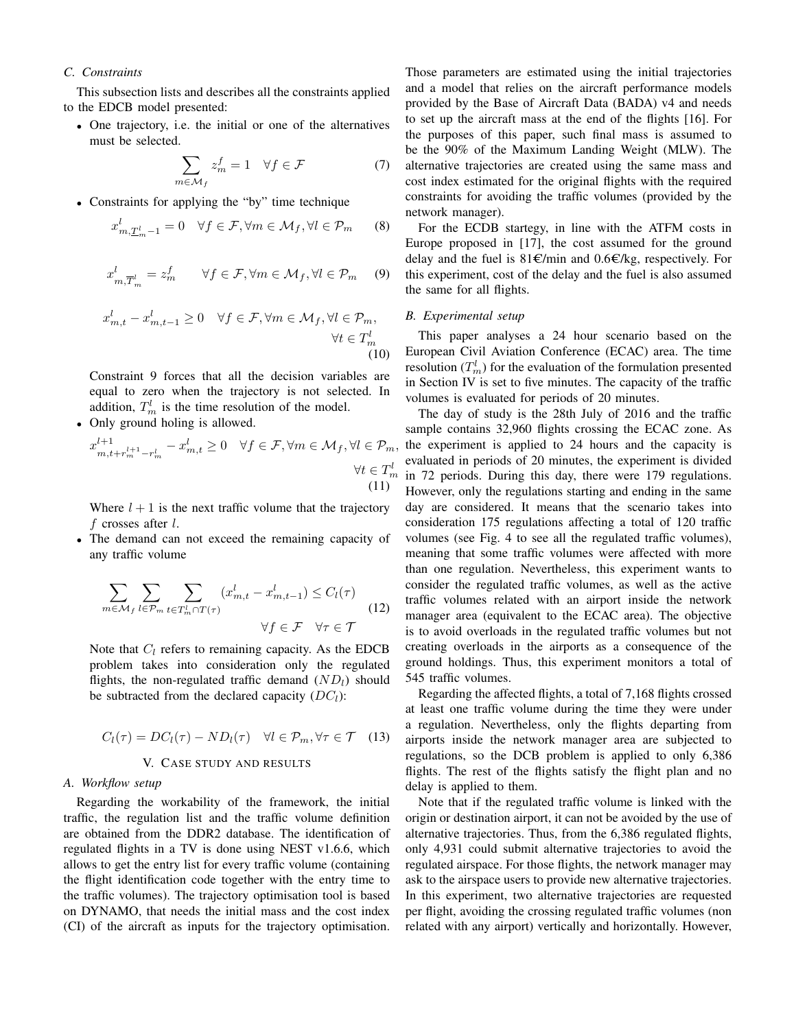# *C. Constraints*

This subsection lists and describes all the constraints applied to the EDCB model presented:

• One trajectory, i.e. the initial or one of the alternatives must be selected.

$$
\sum_{m \in \mathcal{M}_f} z_m^f = 1 \quad \forall f \in \mathcal{F} \tag{7}
$$

• Constraints for applying the "by" time technique

$$
x_{m,\underline{T}_{m}^{l}-1}^{l} = 0 \quad \forall f \in \mathcal{F}, \forall m \in \mathcal{M}_{f}, \forall l \in \mathcal{P}_{m} \qquad (8)
$$

$$
x_{m,\overline{T}_{m}^{l}}^{l} = z_{m}^{f} \qquad \forall f \in \mathcal{F}, \forall m \in \mathcal{M}_{f}, \forall l \in \mathcal{P}_{m} \qquad (9)
$$

$$
x_{m,t}^l - x_{m,t-1}^l \ge 0 \quad \forall f \in \mathcal{F}, \forall m \in \mathcal{M}_f, \forall l \in \mathcal{P}_m,
$$
  

$$
\forall t \in T_m^l
$$
  
(10)

Constraint 9 forces that all the decision variables are equal to zero when the trajectory is not selected. In addition,  $T_m^l$  is the time resolution of the model.

• Only ground holing is allowed.

$$
x_{m,t+r_m^{l+1}-r_m^l}^{l+1} - x_{m,t}^l \ge 0 \quad \forall f \in \mathcal{F}, \forall m \in \mathcal{M}_f, \forall l \in \mathcal{P}_m, \forall t \in T_m^l
$$
\n(11)

Where  $l + 1$  is the next traffic volume that the trajectory f crosses after  $l$ .

• The demand can not exceed the remaining capacity of any traffic volume

$$
\sum_{m \in \mathcal{M}_f} \sum_{l \in \mathcal{P}_m} \sum_{t \in T_m^l \cap T(\tau)} (x_{m,t}^l - x_{m,t-1}^l) \le C_l(\tau)
$$
\n
$$
\forall f \in \mathcal{F} \quad \forall \tau \in \mathcal{T} \tag{12}
$$

Note that  $C_l$  refers to remaining capacity. As the EDCB problem takes into consideration only the regulated flights, the non-regulated traffic demand  $(ND_l)$  should be subtracted from the declared capacity  $(DC_l)$ :

$$
C_l(\tau) = DC_l(\tau) - ND_l(\tau) \quad \forall l \in \mathcal{P}_m, \forall \tau \in \mathcal{T} \quad (13)
$$

## V. CASE STUDY AND RESULTS

## *A. Workflow setup*

Regarding the workability of the framework, the initial traffic, the regulation list and the traffic volume definition are obtained from the DDR2 database. The identification of regulated flights in a TV is done using NEST v1.6.6, which allows to get the entry list for every traffic volume (containing the flight identification code together with the entry time to the traffic volumes). The trajectory optimisation tool is based on DYNAMO, that needs the initial mass and the cost index (CI) of the aircraft as inputs for the trajectory optimisation.

Those parameters are estimated using the initial trajectories and a model that relies on the aircraft performance models provided by the Base of Aircraft Data (BADA) v4 and needs to set up the aircraft mass at the end of the flights [16]. For the purposes of this paper, such final mass is assumed to be the 90% of the Maximum Landing Weight (MLW). The alternative trajectories are created using the same mass and cost index estimated for the original flights with the required constraints for avoiding the traffic volumes (provided by the network manager).

For the ECDB startegy, in line with the ATFM costs in Europe proposed in [17], the cost assumed for the ground delay and the fuel is  $81 \text{E/min}$  and  $0.6 \text{E/kg}$ , respectively. For this experiment, cost of the delay and the fuel is also assumed the same for all flights.

# *B. Experimental setup*

This paper analyses a 24 hour scenario based on the European Civil Aviation Conference (ECAC) area. The time resolution  $(T_m^l)$  for the evaluation of the formulation presented in Section IV is set to five minutes. The capacity of the traffic volumes is evaluated for periods of 20 minutes.

 $<sup>m</sup>$  in 72 periods. During this day, there were 179 regulations.</sup> The day of study is the 28th July of 2016 and the traffic sample contains 32,960 flights crossing the ECAC zone. As  $_{2}$ , the experiment is applied to 24 hours and the capacity is evaluated in periods of 20 minutes, the experiment is divided However, only the regulations starting and ending in the same day are considered. It means that the scenario takes into consideration 175 regulations affecting a total of 120 traffic volumes (see Fig. 4 to see all the regulated traffic volumes), meaning that some traffic volumes were affected with more than one regulation. Nevertheless, this experiment wants to consider the regulated traffic volumes, as well as the active traffic volumes related with an airport inside the network manager area (equivalent to the ECAC area). The objective is to avoid overloads in the regulated traffic volumes but not creating overloads in the airports as a consequence of the ground holdings. Thus, this experiment monitors a total of 545 traffic volumes.

Regarding the affected flights, a total of 7,168 flights crossed at least one traffic volume during the time they were under a regulation. Nevertheless, only the flights departing from airports inside the network manager area are subjected to regulations, so the DCB problem is applied to only 6,386 flights. The rest of the flights satisfy the flight plan and no delay is applied to them.

Note that if the regulated traffic volume is linked with the origin or destination airport, it can not be avoided by the use of alternative trajectories. Thus, from the 6,386 regulated flights, only 4,931 could submit alternative trajectories to avoid the regulated airspace. For those flights, the network manager may ask to the airspace users to provide new alternative trajectories. In this experiment, two alternative trajectories are requested per flight, avoiding the crossing regulated traffic volumes (non related with any airport) vertically and horizontally. However,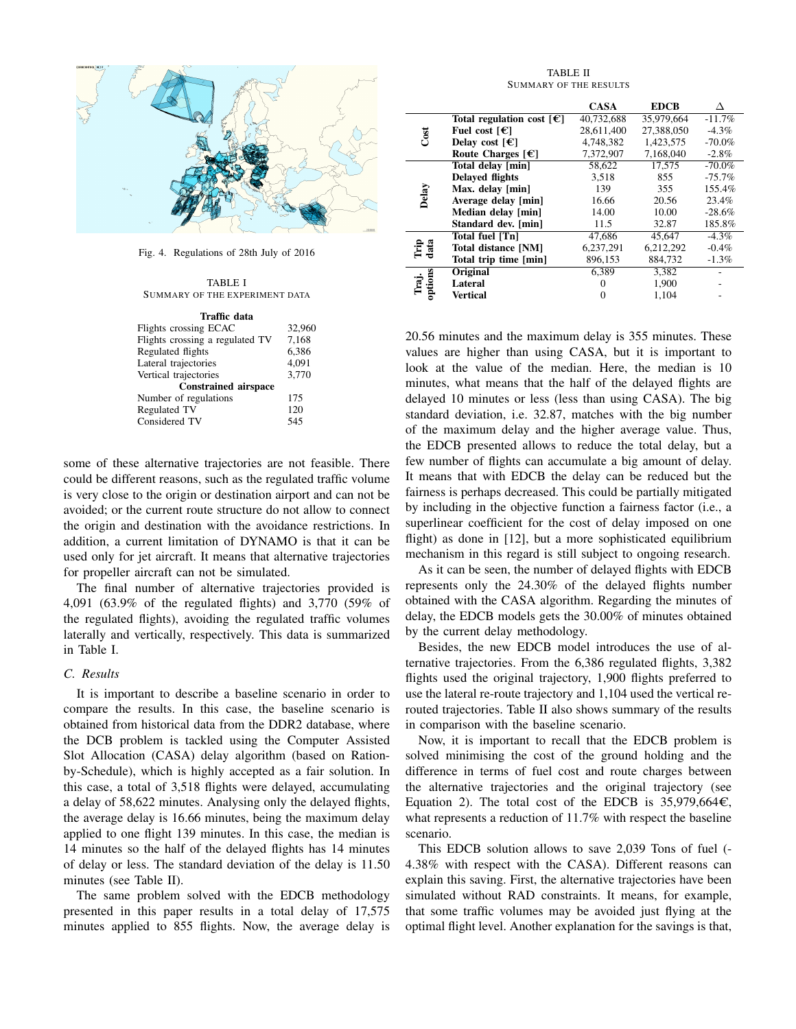

Fig. 4. Regulations of 28th July of 2016

TABLE I SUMMARY OF THE EXPERIMENT DATA

| Traffic data                    |        |  |  |  |
|---------------------------------|--------|--|--|--|
| Flights crossing ECAC           | 32,960 |  |  |  |
| Flights crossing a regulated TV | 7.168  |  |  |  |
| Regulated flights               | 6,386  |  |  |  |
| Lateral trajectories            | 4.091  |  |  |  |
| Vertical trajectories           | 3.770  |  |  |  |
| <b>Constrained airspace</b>     |        |  |  |  |
| Number of regulations           | 175    |  |  |  |
| Regulated TV                    | 120    |  |  |  |
| Considered TV                   | 545    |  |  |  |
|                                 |        |  |  |  |

some of these alternative trajectories are not feasible. There could be different reasons, such as the regulated traffic volume is very close to the origin or destination airport and can not be avoided; or the current route structure do not allow to connect the origin and destination with the avoidance restrictions. In addition, a current limitation of DYNAMO is that it can be used only for jet aircraft. It means that alternative trajectories for propeller aircraft can not be simulated.

The final number of alternative trajectories provided is 4,091 (63.9% of the regulated flights) and 3,770 (59% of the regulated flights), avoiding the regulated traffic volumes laterally and vertically, respectively. This data is summarized in Table I.

## *C. Results*

It is important to describe a baseline scenario in order to compare the results. In this case, the baseline scenario is obtained from historical data from the DDR2 database, where the DCB problem is tackled using the Computer Assisted Slot Allocation (CASA) delay algorithm (based on Rationby-Schedule), which is highly accepted as a fair solution. In this case, a total of 3,518 flights were delayed, accumulating a delay of 58,622 minutes. Analysing only the delayed flights, the average delay is 16.66 minutes, being the maximum delay applied to one flight 139 minutes. In this case, the median is 14 minutes so the half of the delayed flights has 14 minutes of delay or less. The standard deviation of the delay is 11.50 minutes (see Table II).

The same problem solved with the EDCB methodology presented in this paper results in a total delay of 17,575 minutes applied to 855 flights. Now, the average delay is

#### TABLE II SUMMARY OF THE RESULTS

|                  |                                           | <b>CASA</b> | <b>EDCB</b> |           |
|------------------|-------------------------------------------|-------------|-------------|-----------|
| Cost             | Total regulation cost $\lceil \in \rceil$ | 40,732,688  | 35,979,664  | $-11.7%$  |
|                  | Fuel cost $\lceil \in \rceil$             | 28.611.400  | 27.388.050  | $-4.3%$   |
|                  | Delay cost $\lceil \in \rceil$            | 4.748.382   | 1.423.575   | $-70.0\%$ |
|                  | Route Charges $[\mathcal{E}]$             | 7.372.907   | 7.168.040   | $-2.8\%$  |
| Delay            | Total delay [min]                         | 58.622      | 17,575      | $-70.0%$  |
|                  | <b>Delaved flights</b>                    | 3,518       | 855         | $-75.7%$  |
|                  | Max. delay [min]                          | 139         | 355         | 155.4%    |
|                  | Average delay [min]                       | 16.66       | 20.56       | 23.4%     |
|                  | Median delay [min]                        | 14.00       | 10.00       | $-28.6%$  |
|                  | Standard dev. [min]                       | 11.5        | 32.87       | 185.8%    |
| È a<br>dai       | <b>Total fuel [Tn]</b>                    | 47.686      | 45,647      | $-4.3\%$  |
|                  | Total distance [NM]                       | 6,237,291   | 6,212,292   | $-0.4%$   |
|                  | Total trip time [min]                     | 896,153     | 884,732     | $-1.3%$   |
| Traj.<br>options | Original                                  | 6,389       | 3,382       |           |
|                  | Lateral                                   | $\theta$    | 1,900       |           |
|                  | Vertical                                  | $\theta$    | 1.104       |           |

20.56 minutes and the maximum delay is 355 minutes. These values are higher than using CASA, but it is important to look at the value of the median. Here, the median is 10 minutes, what means that the half of the delayed flights are delayed 10 minutes or less (less than using CASA). The big standard deviation, i.e. 32.87, matches with the big number of the maximum delay and the higher average value. Thus, the EDCB presented allows to reduce the total delay, but a few number of flights can accumulate a big amount of delay. It means that with EDCB the delay can be reduced but the fairness is perhaps decreased. This could be partially mitigated by including in the objective function a fairness factor (i.e., a superlinear coefficient for the cost of delay imposed on one flight) as done in [12], but a more sophisticated equilibrium mechanism in this regard is still subject to ongoing research.

As it can be seen, the number of delayed flights with EDCB represents only the 24.30% of the delayed flights number obtained with the CASA algorithm. Regarding the minutes of delay, the EDCB models gets the 30.00% of minutes obtained by the current delay methodology.

Besides, the new EDCB model introduces the use of alternative trajectories. From the 6,386 regulated flights, 3,382 flights used the original trajectory, 1,900 flights preferred to use the lateral re-route trajectory and 1,104 used the vertical rerouted trajectories. Table II also shows summary of the results in comparison with the baseline scenario.

Now, it is important to recall that the EDCB problem is solved minimising the cost of the ground holding and the difference in terms of fuel cost and route charges between the alternative trajectories and the original trajectory (see Equation 2). The total cost of the EDCB is  $35,979,664\epsilon$ , what represents a reduction of 11.7% with respect the baseline scenario.

This EDCB solution allows to save 2,039 Tons of fuel (- 4.38% with respect with the CASA). Different reasons can explain this saving. First, the alternative trajectories have been simulated without RAD constraints. It means, for example, that some traffic volumes may be avoided just flying at the optimal flight level. Another explanation for the savings is that,